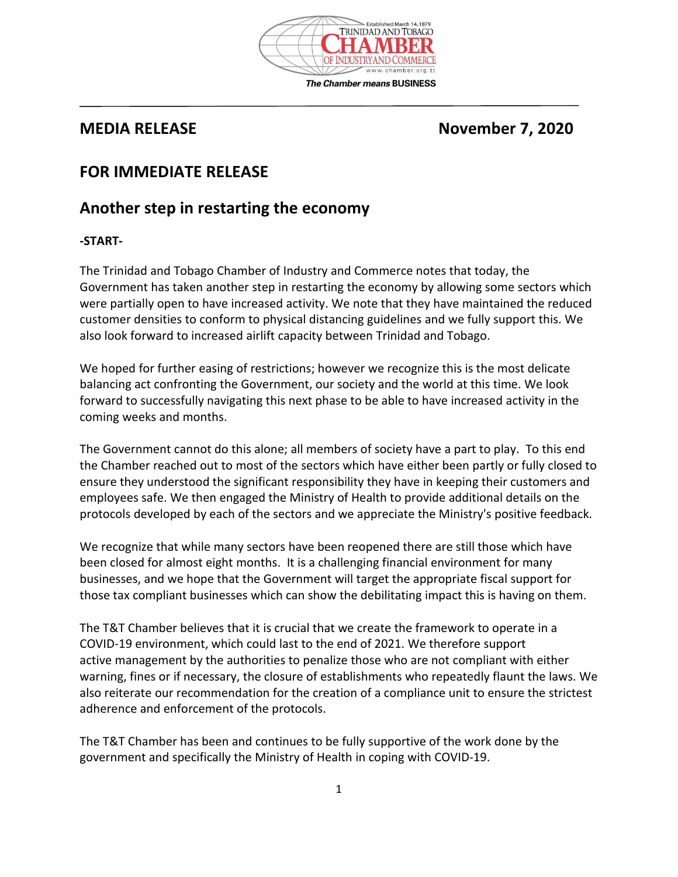

# **MEDIA RELEASE** November 7, 2020

## **FOR IMMEDIATE RELEASE**

### **Another step in restarting the economy**

#### **-START-**

The Trinidad and Tobago Chamber of Industry and Commerce notes that today, the Government has taken another step in restarting the economy by allowing some sectors which were partially open to have increased activity. We note that they have maintained the reduced customer densities to conform to physical distancing guidelines and we fully support this. We also look forward to increased airlift capacity between Trinidad and Tobago.

We hoped for further easing of restrictions; however we recognize this is the most delicate balancing act confronting the Government, our society and the world at this time. We look forward to successfully navigating this next phase to be able to have increased activity in the coming weeks and months.

The Government cannot do this alone; all members of society have a part to play. To this end the Chamber reached out to most of the sectors which have either been partly or fully closed to ensure they understood the significant responsibility they have in keeping their customers and employees safe. We then engaged the Ministry of Health to provide additional details on the protocols developed by each of the sectors and we appreciate the Ministry's positive feedback.

We recognize that while many sectors have been reopened there are still those which have been closed for almost eight months. It is a challenging financial environment for many businesses, and we hope that the Government will target the appropriate fiscal support for those tax compliant businesses which can show the debilitating impact this is having on them.

The T&T Chamber believes that it is crucial that we create the framework to operate in a COVID-19 environment, which could last to the end of 2021. We therefore support active management by the authorities to penalize those who are not compliant with either warning, fines or if necessary, the closure of establishments who repeatedly flaunt the laws. We also reiterate our recommendation for the creation of a compliance unit to ensure the strictest adherence and enforcement of the protocols.

The T&T Chamber has been and continues to be fully supportive of the work done by the government and specifically the Ministry of Health in coping with COVID-19.